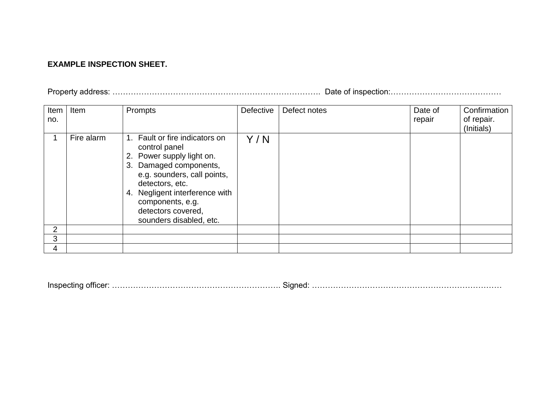## **EXAMPLE INSPECTION SHEET.**

Property address: ……………………………………………………………………. Date of inspection:……………………………………

| Item           | Item       | Prompts                                                                                                                                                                                                                                                         | Defective | Defect notes | Date of | Confirmation |
|----------------|------------|-----------------------------------------------------------------------------------------------------------------------------------------------------------------------------------------------------------------------------------------------------------------|-----------|--------------|---------|--------------|
| no.            |            |                                                                                                                                                                                                                                                                 |           |              | repair  | of repair.   |
|                |            |                                                                                                                                                                                                                                                                 |           |              |         | (Initials)   |
|                | Fire alarm | 1. Fault or fire indicators on<br>control panel<br>2. Power supply light on.<br>3. Damaged components,<br>e.g. sounders, call points,<br>detectors, etc.<br>4. Negligent interference with<br>components, e.g.<br>detectors covered,<br>sounders disabled, etc. | Y/N       |              |         |              |
| $\overline{2}$ |            |                                                                                                                                                                                                                                                                 |           |              |         |              |
| 3              |            |                                                                                                                                                                                                                                                                 |           |              |         |              |
| 4              |            |                                                                                                                                                                                                                                                                 |           |              |         |              |

Inspecting officer: ………………………………………………………. Signed: ………………………………………………………………